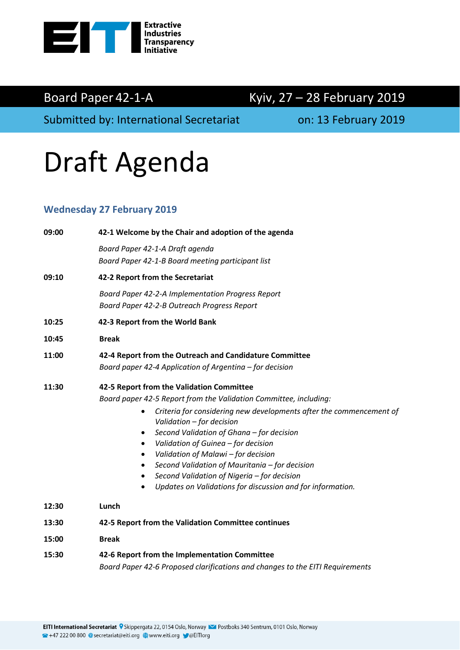

## Board Paper 42-1-A Kyiv, 27 - 28 February 2019

Submitted by: International Secretariat **contains the U.S. 13 February 2019** 

# Draft Agenda

#### **Wednesday 27 February 2019**

| 09:00 | 42-1 Welcome by the Chair and adoption of the agenda                                                                                                                                                                                                                                                                                                                                                                                                                                                                                                     |  |  |  |
|-------|----------------------------------------------------------------------------------------------------------------------------------------------------------------------------------------------------------------------------------------------------------------------------------------------------------------------------------------------------------------------------------------------------------------------------------------------------------------------------------------------------------------------------------------------------------|--|--|--|
|       | Board Paper 42-1-A Draft agenda<br>Board Paper 42-1-B Board meeting participant list                                                                                                                                                                                                                                                                                                                                                                                                                                                                     |  |  |  |
| 09:10 | 42-2 Report from the Secretariat                                                                                                                                                                                                                                                                                                                                                                                                                                                                                                                         |  |  |  |
|       | Board Paper 42-2-A Implementation Progress Report<br>Board Paper 42-2-B Outreach Progress Report                                                                                                                                                                                                                                                                                                                                                                                                                                                         |  |  |  |
| 10:25 | 42-3 Report from the World Bank                                                                                                                                                                                                                                                                                                                                                                                                                                                                                                                          |  |  |  |
| 10:45 | <b>Break</b>                                                                                                                                                                                                                                                                                                                                                                                                                                                                                                                                             |  |  |  |
| 11:00 | 42-4 Report from the Outreach and Candidature Committee<br>Board paper 42-4 Application of Argentina - for decision                                                                                                                                                                                                                                                                                                                                                                                                                                      |  |  |  |
| 11:30 | 42-5 Report from the Validation Committee<br>Board paper 42-5 Report from the Validation Committee, including:<br>Criteria for considering new developments after the commencement of<br>Validation - for decision<br>Second Validation of Ghana - for decision<br>$\bullet$<br>Validation of Guinea - for decision<br>$\bullet$<br>Validation of Malawi - for decision<br>$\bullet$<br>Second Validation of Mauritania - for decision<br>٠<br>Second Validation of Nigeria - for decision<br>Updates on Validations for discussion and for information. |  |  |  |
| 12:30 | Lunch                                                                                                                                                                                                                                                                                                                                                                                                                                                                                                                                                    |  |  |  |
| 13:30 | 42-5 Report from the Validation Committee continues                                                                                                                                                                                                                                                                                                                                                                                                                                                                                                      |  |  |  |
| 15:00 | <b>Break</b>                                                                                                                                                                                                                                                                                                                                                                                                                                                                                                                                             |  |  |  |
| 15:30 | 42-6 Report from the Implementation Committee<br>Board Paper 42-6 Proposed clarifications and changes to the EITI Requirements                                                                                                                                                                                                                                                                                                                                                                                                                           |  |  |  |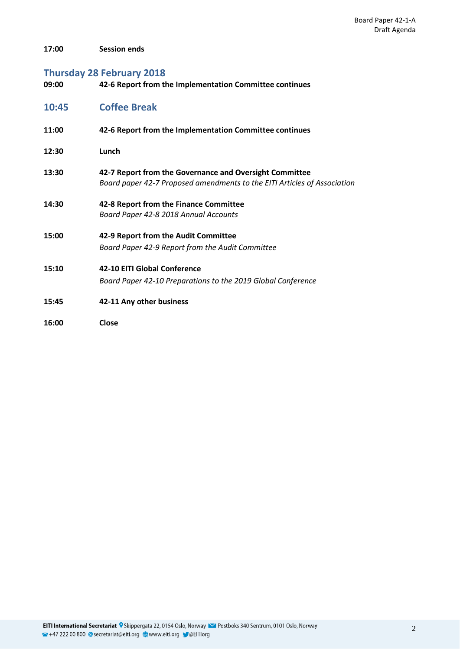**17:00 Session ends**

### **Thursday 28 February 2018**

| 09:00 | 42-6 Report from the Implementation Committee continues                                                                             |
|-------|-------------------------------------------------------------------------------------------------------------------------------------|
| 10:45 | <b>Coffee Break</b>                                                                                                                 |
| 11:00 | 42-6 Report from the Implementation Committee continues                                                                             |
| 12:30 | Lunch                                                                                                                               |
| 13:30 | 42-7 Report from the Governance and Oversight Committee<br>Board paper 42-7 Proposed amendments to the EITI Articles of Association |
| 14:30 | 42-8 Report from the Finance Committee<br>Board Paper 42-8 2018 Annual Accounts                                                     |
| 15:00 | 42-9 Report from the Audit Committee                                                                                                |
|       | Board Paper 42-9 Report from the Audit Committee                                                                                    |
| 15:10 | <b>42-10 EITI Global Conference</b>                                                                                                 |
|       | Board Paper 42-10 Preparations to the 2019 Global Conference                                                                        |
| 15:45 | 42-11 Any other business                                                                                                            |

**16:00 Close**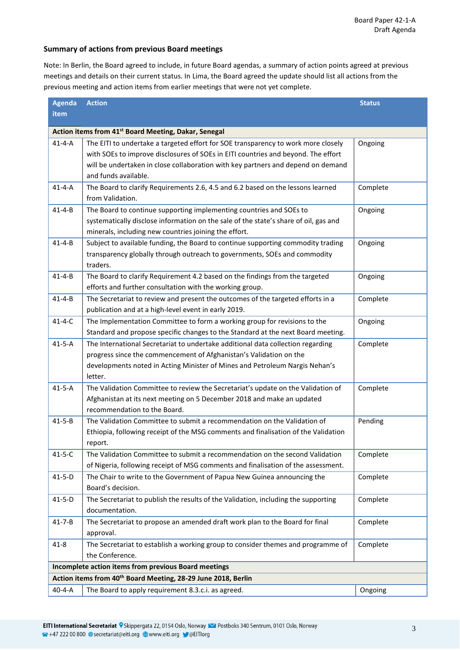#### **Summary of actions from previous Board meetings**

Note: In Berlin, the Board agreed to include, in future Board agendas, a summary of action points agreed at previous meetings and details on their current status. In Lima, the Board agreed the update should list all actions from the previous meeting and action items from earlier meetings that were not yet complete.

| <b>Agenda</b>                                                             | <b>Action</b><br><b>Status</b>                                                                         |          |  |  |  |
|---------------------------------------------------------------------------|--------------------------------------------------------------------------------------------------------|----------|--|--|--|
| item                                                                      |                                                                                                        |          |  |  |  |
| Action items from 41 <sup>st</sup> Board Meeting, Dakar, Senegal          |                                                                                                        |          |  |  |  |
| $41 - 4 - A$                                                              | The EITI to undertake a targeted effort for SOE transparency to work more closely                      | Ongoing  |  |  |  |
|                                                                           | with SOEs to improve disclosures of SOEs in EITI countries and beyond. The effort                      |          |  |  |  |
|                                                                           | will be undertaken in close collaboration with key partners and depend on demand                       |          |  |  |  |
|                                                                           | and funds available.                                                                                   |          |  |  |  |
| $41 - 4 - A$                                                              | The Board to clarify Requirements 2.6, 4.5 and 6.2 based on the lessons learned                        | Complete |  |  |  |
|                                                                           | from Validation.                                                                                       |          |  |  |  |
| $41 - 4 - B$                                                              | The Board to continue supporting implementing countries and SOEs to                                    | Ongoing  |  |  |  |
|                                                                           | systematically disclose information on the sale of the state's share of oil, gas and                   |          |  |  |  |
|                                                                           | minerals, including new countries joining the effort.                                                  |          |  |  |  |
| $41 - 4 - B$                                                              | Subject to available funding, the Board to continue supporting commodity trading                       | Ongoing  |  |  |  |
|                                                                           | transparency globally through outreach to governments, SOEs and commodity                              |          |  |  |  |
|                                                                           | traders.                                                                                               |          |  |  |  |
| $41 - 4 - B$                                                              | The Board to clarify Requirement 4.2 based on the findings from the targeted                           | Ongoing  |  |  |  |
|                                                                           | efforts and further consultation with the working group.                                               |          |  |  |  |
| $41 - 4 - B$                                                              | The Secretariat to review and present the outcomes of the targeted efforts in a                        | Complete |  |  |  |
|                                                                           | publication and at a high-level event in early 2019.                                                   |          |  |  |  |
| $41 - 4 - C$                                                              | The Implementation Committee to form a working group for revisions to the                              | Ongoing  |  |  |  |
|                                                                           | Standard and propose specific changes to the Standard at the next Board meeting.                       |          |  |  |  |
| $41-5-A$                                                                  | The International Secretariat to undertake additional data collection regarding                        | Complete |  |  |  |
|                                                                           | progress since the commencement of Afghanistan's Validation on the                                     |          |  |  |  |
|                                                                           | developments noted in Acting Minister of Mines and Petroleum Nargis Nehan's                            |          |  |  |  |
|                                                                           | letter.                                                                                                |          |  |  |  |
| $41 - 5 - A$                                                              | The Validation Committee to review the Secretariat's update on the Validation of                       | Complete |  |  |  |
|                                                                           | Afghanistan at its next meeting on 5 December 2018 and make an updated<br>recommendation to the Board. |          |  |  |  |
| $41 - 5 - B$                                                              | The Validation Committee to submit a recommendation on the Validation of                               | Pending  |  |  |  |
|                                                                           | Ethiopia, following receipt of the MSG comments and finalisation of the Validation                     |          |  |  |  |
|                                                                           | report.                                                                                                |          |  |  |  |
| $41 - 5 - C$                                                              | The Validation Committee to submit a recommendation on the second Validation                           | Complete |  |  |  |
|                                                                           | of Nigeria, following receipt of MSG comments and finalisation of the assessment.                      |          |  |  |  |
| $41 - 5 - D$                                                              | The Chair to write to the Government of Papua New Guinea announcing the                                | Complete |  |  |  |
|                                                                           | Board's decision.                                                                                      |          |  |  |  |
| $41 - 5 - D$                                                              | The Secretariat to publish the results of the Validation, including the supporting                     | Complete |  |  |  |
|                                                                           | documentation.                                                                                         |          |  |  |  |
| $41 - 7 - B$                                                              | The Secretariat to propose an amended draft work plan to the Board for final                           | Complete |  |  |  |
|                                                                           | approval.                                                                                              |          |  |  |  |
| $41 - 8$                                                                  | The Secretariat to establish a working group to consider themes and programme of                       | Complete |  |  |  |
|                                                                           | the Conference.                                                                                        |          |  |  |  |
| Incomplete action items from previous Board meetings                      |                                                                                                        |          |  |  |  |
| Action items from 40 <sup>th</sup> Board Meeting, 28-29 June 2018, Berlin |                                                                                                        |          |  |  |  |
| $40 - 4 - A$                                                              | The Board to apply requirement 8.3.c.i. as agreed.                                                     | Ongoing  |  |  |  |
|                                                                           |                                                                                                        |          |  |  |  |